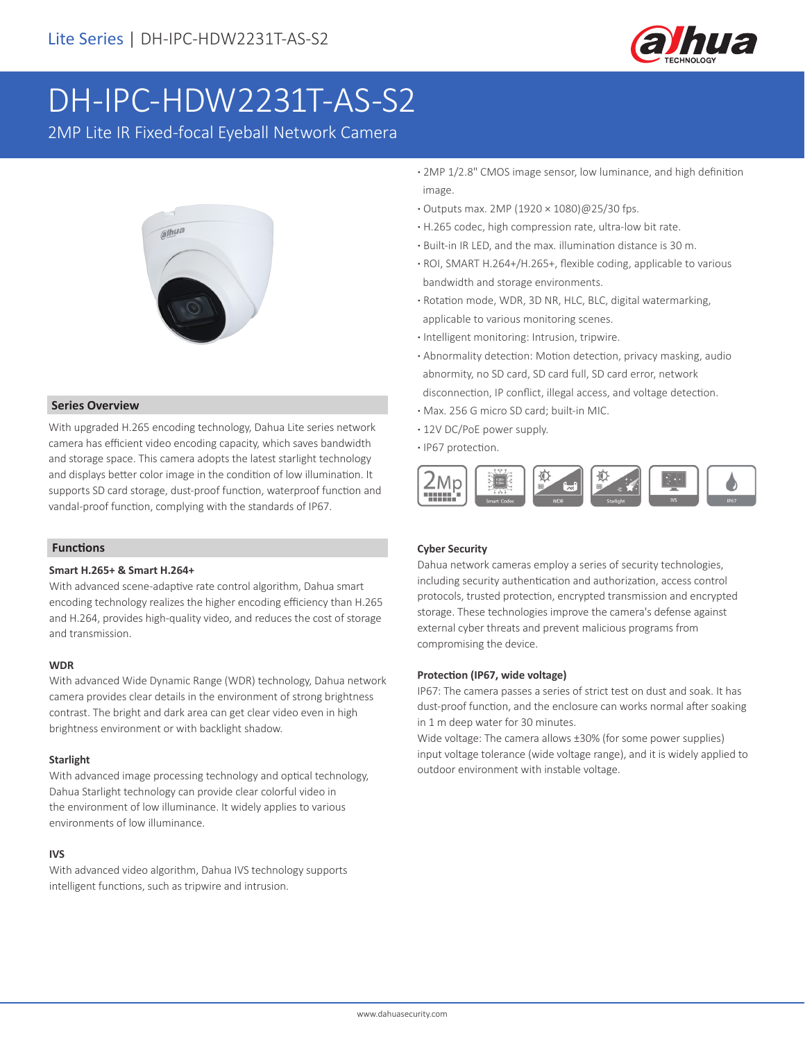

# DH-IPC-HDW2231T-AS-S2

2MP Lite IR Fixed-focal Eyeball Network Camera



#### **Series Overview**

With upgraded H.265 encoding technology, Dahua Lite series network camera has efficient video encoding capacity, which saves bandwidth and storage space. This camera adopts the latest starlight technology and displays better color image in the condition of low illumination. It supports SD card storage, dust-proof function, waterproof function and vandal-proof function, complying with the standards of IP67.

#### **Functions**

## **Smart H.265+ & Smart H.264+**

With advanced scene-adaptive rate control algorithm, Dahua smart encoding technology realizes the higher encoding efficiency than H.265 and H.264, provides high-quality video, and reduces the cost of storage and transmission.

#### **WDR**

With advanced Wide Dynamic Range (WDR) technology, Dahua network camera provides clear details in the environment of strong brightness contrast. The bright and dark area can get clear video even in high brightness environment or with backlight shadow.

#### **Starlight**

With advanced image processing technology and optical technology, Dahua Starlight technology can provide clear colorful video in the environment of low illuminance. It widely applies to various environments of low illuminance.

# **IVS**

With advanced video algorithm, Dahua IVS technology supports intelligent functions, such as tripwire and intrusion.

- **·** 2MP 1/2.8" CMOS image sensor, low luminance, and high definition image.
- **·** Outputs max. 2MP (1920 × 1080)@25/30 fps.
- **·** H.265 codec, high compression rate, ultra-low bit rate.
- **·** Built-in IR LED, and the max. illumination distance is 30 m.
- **·** ROI, SMART H.264+/H.265+, flexible coding, applicable to various bandwidth and storage environments.
- **·** Rotation mode, WDR, 3D NR, HLC, BLC, digital watermarking, applicable to various monitoring scenes.
- **·** Intelligent monitoring: Intrusion, tripwire.
- **·** Abnormality detection: Motion detection, privacy masking, audio abnormity, no SD card, SD card full, SD card error, network disconnection, IP conflict, illegal access, and voltage detection.
- **·** Max. 256 G micro SD card; built-in MIC.
- **·** 12V DC/PoE power supply.
- **·** IP67 protection.



# **Cyber Security**

Dahua network cameras employ a series of security technologies, including security authentication and authorization, access control protocols, trusted protection, encrypted transmission and encrypted storage. These technologies improve the camera's defense against external cyber threats and prevent malicious programs from compromising the device.

#### **Protection (IP67, wide voltage)**

IP67: The camera passes a series of strict test on dust and soak. It has dust-proof function, and the enclosure can works normal after soaking in 1 m deep water for 30 minutes.

Wide voltage: The camera allows ±30% (for some power supplies) input voltage tolerance (wide voltage range), and it is widely applied to outdoor environment with instable voltage.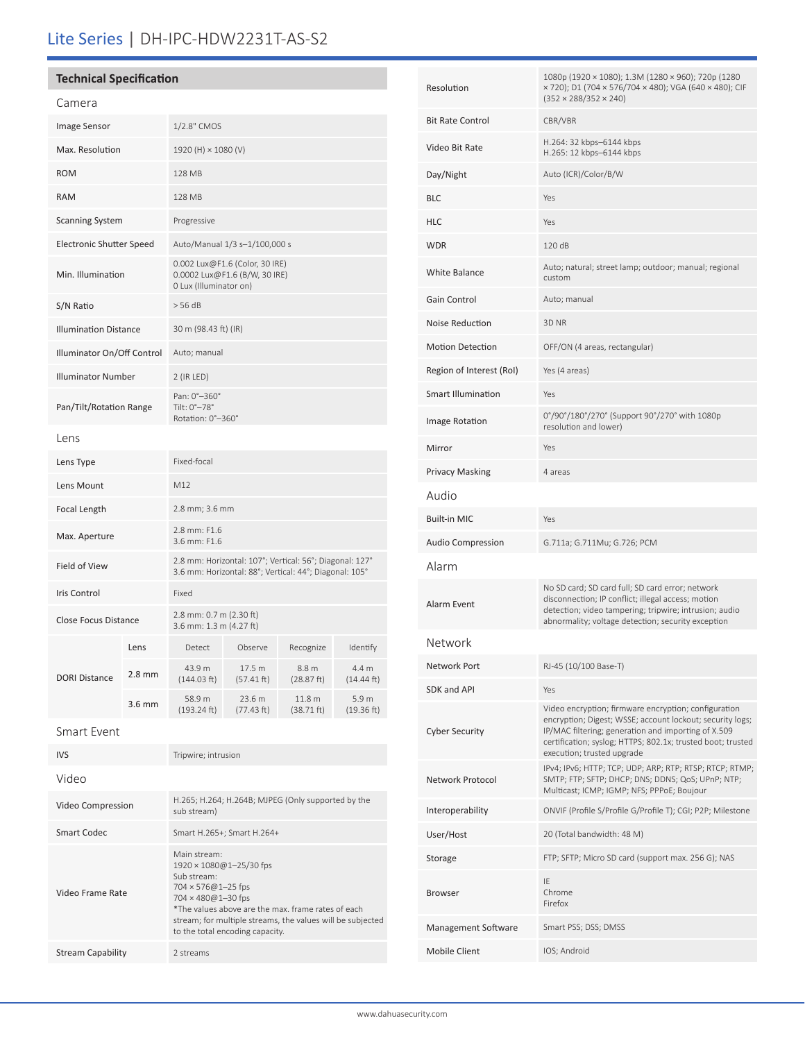# Lite Series | DH-IPC-HDW2231T-AS-S2

| <b>Technical Specification</b>  |                  |                                                                                                                   |                      |                                 |                     |
|---------------------------------|------------------|-------------------------------------------------------------------------------------------------------------------|----------------------|---------------------------------|---------------------|
| Camera                          |                  |                                                                                                                   |                      |                                 |                     |
| Image Sensor                    |                  | 1/2.8" CMOS                                                                                                       |                      |                                 |                     |
| Max. Resolution                 |                  | 1920 (H) × 1080 (V)                                                                                               |                      |                                 |                     |
| <b>ROM</b>                      |                  | 128 MB                                                                                                            |                      |                                 |                     |
| <b>RAM</b>                      |                  | 128 MB                                                                                                            |                      |                                 |                     |
| <b>Scanning System</b>          |                  | Progressive                                                                                                       |                      |                                 |                     |
| <b>Electronic Shutter Speed</b> |                  | Auto/Manual 1/3 s-1/100,000 s                                                                                     |                      |                                 |                     |
| Min. Illumination               |                  | 0.002 Lux@F1.6 (Color, 30 IRE)<br>0.0002 Lux@F1.6 (B/W, 30 IRE)<br>0 Lux (Illuminator on)                         |                      |                                 |                     |
| S/N Ratio                       |                  | > 56 dB                                                                                                           |                      |                                 |                     |
| <b>Illumination Distance</b>    |                  | 30 m (98.43 ft) (IR)                                                                                              |                      |                                 |                     |
| Illuminator On/Off Control      |                  | Auto; manual                                                                                                      |                      |                                 |                     |
| <b>Illuminator Number</b>       |                  | $2$ (IR LED)                                                                                                      |                      |                                 |                     |
| Pan/Tilt/Rotation Range         |                  | Pan: 0°-360°<br>Tilt: $0^\circ - 78^\circ$<br>Rotation: 0°-360°                                                   |                      |                                 |                     |
| Lens                            |                  |                                                                                                                   |                      |                                 |                     |
| Lens Type                       |                  | Fixed-focal                                                                                                       |                      |                                 |                     |
| Lens Mount                      |                  | M12                                                                                                               |                      |                                 |                     |
| Focal Length                    |                  | 2.8 mm; 3.6 mm                                                                                                    |                      |                                 |                     |
| Max. Aperture                   |                  | 2.8 mm: F1.6<br>3.6 mm: F1.6                                                                                      |                      |                                 |                     |
| Field of View                   |                  | 2.8 mm: Horizontal: 107°; Vertical: 56°; Diagonal: 127°<br>3.6 mm: Horizontal: 88°; Vertical: 44°; Diagonal: 105° |                      |                                 |                     |
| Iris Control                    |                  | Fixed                                                                                                             |                      |                                 |                     |
| <b>Close Focus Distance</b>     |                  | 2.8 mm: 0.7 m (2.30 ft)<br>3.6 mm: 1.3 m (4.27 ft)                                                                |                      |                                 |                     |
| <b>DORI Distance</b>            | Lens             | Detect                                                                                                            | Observe              | Recognize                       | Identify            |
|                                 | $2.8 \text{ mm}$ | 43.9 m<br>(144.03 ft)                                                                                             | 17.5 m<br>(57.41 ft) | 8.8 m<br>(28.87 ft)             | 4.4 m<br>(14.44 ft) |
|                                 | $3.6 \text{ mm}$ | 58.9 m<br>(193.24 ft)                                                                                             | 23.6 m<br>(77.43 ft) | 11.8 <sub>m</sub><br>(38.71 ft) | 5.9 m<br>(19.36 ft) |
| <b>Smart Event</b>              |                  |                                                                                                                   |                      |                                 |                     |
| <b>IVS</b>                      |                  | Tripwire; intrusion                                                                                               |                      |                                 |                     |

| Video             |                                                                                                                                                                                                                                                                             |
|-------------------|-----------------------------------------------------------------------------------------------------------------------------------------------------------------------------------------------------------------------------------------------------------------------------|
| Video Compression | H.265; H.264; H.264B; MJPEG (Only supported by the<br>sub stream)                                                                                                                                                                                                           |
| Smart Codec       | Smart H.265+; Smart H.264+                                                                                                                                                                                                                                                  |
| Video Frame Rate  | Main stream:<br>1920 × 1080@1-25/30 fps<br>Sub stream:<br>$704 \times 576@1 - 25$ fps<br>$704 \times 480@1 - 30$ fps<br>*The values above are the max, frame rates of each<br>stream; for multiple streams, the values will be subjected<br>to the total encoding capacity. |
| Stream Capability | 2 streams                                                                                                                                                                                                                                                                   |
|                   |                                                                                                                                                                                                                                                                             |

| Resolution               | 1080p (1920 × 1080); 1.3M (1280 × 960); 720p (1280<br>x 720); D1 (704 x 576/704 x 480); VGA (640 x 480); CIF<br>$(352 \times 288/352 \times 240)$                                                                                                                     |
|--------------------------|-----------------------------------------------------------------------------------------------------------------------------------------------------------------------------------------------------------------------------------------------------------------------|
| <b>Bit Rate Control</b>  | CBR/VBR                                                                                                                                                                                                                                                               |
| Video Bit Rate           | H.264: 32 kbps-6144 kbps<br>H.265: 12 kbps-6144 kbps                                                                                                                                                                                                                  |
| Day/Night                | Auto (ICR)/Color/B/W                                                                                                                                                                                                                                                  |
| <b>BLC</b>               | Yes                                                                                                                                                                                                                                                                   |
| <b>HLC</b>               | Yes                                                                                                                                                                                                                                                                   |
| <b>WDR</b>               | 120 dB                                                                                                                                                                                                                                                                |
| <b>White Balance</b>     | Auto; natural; street lamp; outdoor; manual; regional<br>custom                                                                                                                                                                                                       |
| Gain Control             | Auto; manual                                                                                                                                                                                                                                                          |
| Noise Reduction          | 3D NR                                                                                                                                                                                                                                                                 |
| <b>Motion Detection</b>  | OFF/ON (4 areas, rectangular)                                                                                                                                                                                                                                         |
| Region of Interest (RoI) | Yes (4 areas)                                                                                                                                                                                                                                                         |
| Smart Illumination       | Yes                                                                                                                                                                                                                                                                   |
| Image Rotation           | 0°/90°/180°/270° (Support 90°/270° with 1080p<br>resolution and lower)                                                                                                                                                                                                |
| Mirror                   | Yes                                                                                                                                                                                                                                                                   |
| <b>Privacy Masking</b>   | 4 areas                                                                                                                                                                                                                                                               |
| Audio                    |                                                                                                                                                                                                                                                                       |
| <b>Built-in MIC</b>      | Yes                                                                                                                                                                                                                                                                   |
| <b>Audio Compression</b> | G.711a; G.711Mu; G.726; PCM                                                                                                                                                                                                                                           |
| Alarm                    |                                                                                                                                                                                                                                                                       |
| Alarm Event              | No SD card; SD card full; SD card error; network<br>disconnection; IP conflict; illegal access; motion<br>detection; video tampering; tripwire; intrusion; audio<br>abnormality; voltage detection; security exception                                                |
| Network                  |                                                                                                                                                                                                                                                                       |
| Network Port             | RJ-45 (10/100 Base-T)                                                                                                                                                                                                                                                 |
| <b>SDK and API</b>       | Yes                                                                                                                                                                                                                                                                   |
| <b>Cyber Security</b>    | Video encryption; firmware encryption; configuration<br>encryption; Digest; WSSE; account lockout; security logs;<br>IP/MAC filtering; generation and importing of X.509<br>certification; syslog; HTTPS; 802.1x; trusted boot; trusted<br>execution; trusted upgrade |
| Network Protocol         | IPv4; IPv6; HTTP; TCP; UDP; ARP; RTP; RTSP; RTCP; RTMP;<br>SMTP; FTP; SFTP; DHCP; DNS; DDNS; QoS; UPnP; NTP;<br>Multicast; ICMP; IGMP; NFS; PPPoE; Boujour                                                                                                            |
| Interoperability         | ONVIF (Profile S/Profile G/Profile T); CGI; P2P; Milestone                                                                                                                                                                                                            |
| User/Host                | 20 (Total bandwidth: 48 M)                                                                                                                                                                                                                                            |
| Storage                  | FTP; SFTP; Micro SD card (support max. 256 G); NAS                                                                                                                                                                                                                    |
| <b>Browser</b>           | IE<br>Chrome<br>Firefox                                                                                                                                                                                                                                               |
| Management Software      | Smart PSS; DSS; DMSS                                                                                                                                                                                                                                                  |
| Mobile Client            | IOS; Android                                                                                                                                                                                                                                                          |